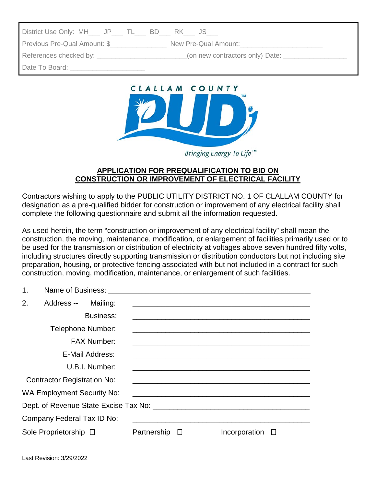| District Use Only: MH___ JP___ TL___ BD___ RK___ JS___                                                                                                                                                                        |                                 |  |
|-------------------------------------------------------------------------------------------------------------------------------------------------------------------------------------------------------------------------------|---------------------------------|--|
| Previous Pre-Qual Amount: \$<br>New Pre-Qual Amount:                                                                                                                                                                          |                                 |  |
| References checked by: Network and the set of the set of the set of the set of the set of the set of the set of the set of the set of the set of the set of the set of the set of the set of the set of the set of the set of | (on new contractors only) Date: |  |
| Date To Board:                                                                                                                                                                                                                |                                 |  |



## **APPLICATION FOR PREQUALIFICATION TO BID ON CONSTRUCTION OR IMPROVEMENT OF ELECTRICAL FACILITY**

Contractors wishing to apply to the PUBLIC UTILITY DISTRICT NO. 1 OF CLALLAM COUNTY for designation as a pre-qualified bidder for construction or improvement of any electrical facility shall complete the following questionnaire and submit all the information requested.

As used herein, the term "construction or improvement of any electrical facility" shall mean the construction, the moving, maintenance, modification, or enlargement of facilities primarily used or to be used for the transmission or distribution of electricity at voltages above seven hundred fifty volts, including structures directly supporting transmission or distribution conductors but not including site preparation, housing, or protective fencing associated with but not included in a contract for such construction, moving, modification, maintenance, or enlargement of such facilities.

| 1. |                                    |                    |                    |                                                                                                                       |  |
|----|------------------------------------|--------------------|--------------------|-----------------------------------------------------------------------------------------------------------------------|--|
| 2. | Address -- Mailing:                |                    |                    |                                                                                                                       |  |
|    |                                    | Business:          |                    |                                                                                                                       |  |
|    |                                    | Telephone Number:  |                    |                                                                                                                       |  |
|    |                                    | <b>FAX Number:</b> |                    | <u> 1989 - Johann Stoff, deutscher Stoff, der Stoff, der Stoff, der Stoff, der Stoff, der Stoff, der Stoff, der S</u> |  |
|    |                                    | E-Mail Address:    |                    |                                                                                                                       |  |
|    |                                    | U.B.I. Number:     |                    | <u> 1989 - Johann Barbara, marka a shekara ta 1989 - An tsara tsa a shekara tsa a shekara tsa a shekara tsa a sh</u>  |  |
|    | <b>Contractor Registration No:</b> |                    |                    |                                                                                                                       |  |
|    | <b>WA Employment Security No:</b>  |                    |                    |                                                                                                                       |  |
|    |                                    |                    |                    |                                                                                                                       |  |
|    | Company Federal Tax ID No:         |                    |                    |                                                                                                                       |  |
|    | Sole Proprietorship □              |                    | Partnership $\Box$ | Incorporation $\square$                                                                                               |  |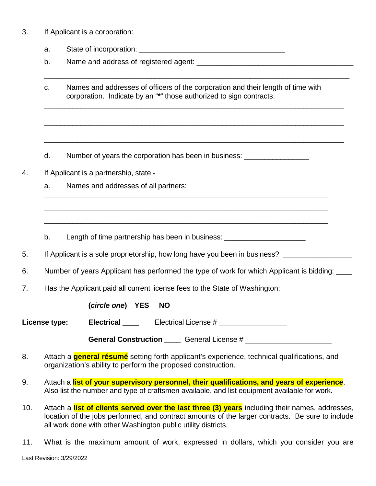3. If Applicant is a corporation:

a. State of incorporation: \_\_\_\_\_\_\_\_\_\_\_\_\_\_\_\_\_\_\_\_\_\_\_\_\_\_\_\_\_\_\_\_\_\_\_\_

b. Name and address of registered agent:

\_\_\_\_\_\_\_\_\_\_\_\_\_\_\_\_\_\_\_\_\_\_\_\_\_\_\_\_\_\_\_\_\_\_\_\_\_\_\_\_\_\_\_\_\_\_\_\_\_\_\_\_\_\_\_\_\_\_\_\_\_\_\_\_\_\_\_\_\_\_\_\_\_\_

\_\_\_\_\_\_\_\_\_\_\_\_\_\_\_\_\_\_\_\_\_\_\_\_\_\_\_\_\_\_\_\_\_\_\_\_\_\_\_\_\_\_\_\_\_\_\_\_\_\_\_\_\_\_\_\_\_\_\_\_\_\_\_\_\_\_\_\_\_\_\_\_\_\_

\_\_\_\_\_\_\_\_\_\_\_\_\_\_\_\_\_\_\_\_\_\_\_\_\_\_\_\_\_\_\_\_\_\_\_\_\_\_\_\_\_\_\_\_\_\_\_\_\_\_\_\_\_\_\_\_\_\_\_\_\_\_\_\_\_\_\_\_\_\_\_\_\_\_

\_\_\_\_\_\_\_\_\_\_\_\_\_\_\_\_\_\_\_\_\_\_\_\_\_\_\_\_\_\_\_\_\_\_\_\_\_\_\_\_\_\_\_\_\_\_\_\_\_\_\_\_\_\_\_\_\_\_\_\_\_\_\_\_\_\_\_\_\_\_\_\_\_\_

\_\_\_\_\_\_\_\_\_\_\_\_\_\_\_\_\_\_\_\_\_\_\_\_\_\_\_\_\_\_\_\_\_\_\_\_\_\_\_\_\_\_\_\_\_\_\_\_\_\_\_\_\_\_\_\_\_\_\_\_\_\_\_\_\_\_\_\_\_\_

\_\_\_\_\_\_\_\_\_\_\_\_\_\_\_\_\_\_\_\_\_\_\_\_\_\_\_\_\_\_\_\_\_\_\_\_\_\_\_\_\_\_\_\_\_\_\_\_\_\_\_\_\_\_\_\_\_\_\_\_\_\_\_\_\_\_\_\_\_\_

\_\_\_\_\_\_\_\_\_\_\_\_\_\_\_\_\_\_\_\_\_\_\_\_\_\_\_\_\_\_\_\_\_\_\_\_\_\_\_\_\_\_\_\_\_\_\_\_\_\_\_\_\_\_\_\_\_\_\_\_\_\_\_\_\_\_\_\_\_\_

c. Names and addresses of officers of the corporation and their length of time with corporation. Indicate by an "**\***" those authorized to sign contracts:

d. Number of years the corporation has been in business:

- 4. If Applicant is a partnership, state
	- a. Names and addresses of all partners:

b. Length of time partnership has been in business:

5. If Applicant is a sole proprietorship, how long have you been in business?

- 6. Number of years Applicant has performed the type of work for which Applicant is bidding: \_\_\_\_
- 7. Has the Applicant paid all current license fees to the State of Washington:

**(***circle one***) YES NO**

**License type:** Electrical Electrical License #

**General Construction \_\_\_\_** General License #

- 8. Attach a **general résumé** setting forth applicant's experience, technical qualifications, and organization's ability to perform the proposed construction.
- 9. Attach a **list of your supervisory personnel, their qualifications, and years of experience**. Also list the number and type of craftsmen available, and list equipment available for work.
- 10. Attach a **list of clients served over the last three (3) years** including their names, addresses, location of the jobs performed, and contract amounts of the larger contracts. Be sure to include all work done with other Washington public utility districts.
- 11. What is the maximum amount of work, expressed in dollars, which you consider you are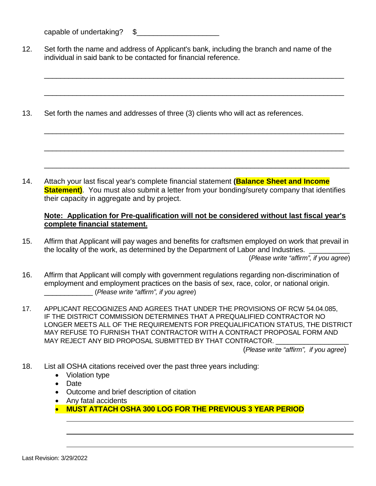capable of undertaking? \$

12. Set forth the name and address of Applicant's bank, including the branch and name of the individual in said bank to be contacted for financial reference.

\_\_\_\_\_\_\_\_\_\_\_\_\_\_\_\_\_\_\_\_\_\_\_\_\_\_\_\_\_\_\_\_\_\_\_\_\_\_\_\_\_\_\_\_\_\_\_\_\_\_\_\_\_\_\_\_\_\_\_\_\_\_\_\_\_\_\_\_\_\_\_\_\_\_

\_\_\_\_\_\_\_\_\_\_\_\_\_\_\_\_\_\_\_\_\_\_\_\_\_\_\_\_\_\_\_\_\_\_\_\_\_\_\_\_\_\_\_\_\_\_\_\_\_\_\_\_\_\_\_\_\_\_\_\_\_\_\_\_\_\_\_\_\_\_\_\_\_\_

\_\_\_\_\_\_\_\_\_\_\_\_\_\_\_\_\_\_\_\_\_\_\_\_\_\_\_\_\_\_\_\_\_\_\_\_\_\_\_\_\_\_\_\_\_\_\_\_\_\_\_\_\_\_\_\_\_\_\_\_\_\_\_\_\_\_\_\_\_\_\_\_\_\_

\_\_\_\_\_\_\_\_\_\_\_\_\_\_\_\_\_\_\_\_\_\_\_\_\_\_\_\_\_\_\_\_\_\_\_\_\_\_\_\_\_\_\_\_\_\_\_\_\_\_\_\_\_\_\_\_\_\_\_\_\_\_\_\_\_\_\_\_\_\_\_\_\_\_

\_\_\_\_\_\_\_\_\_\_\_\_\_\_\_\_\_\_\_\_\_\_\_\_\_\_\_\_\_\_\_\_\_\_\_\_\_\_\_\_\_\_\_\_\_\_\_\_\_\_\_\_\_\_\_\_\_\_\_\_\_\_\_\_\_\_\_\_\_\_\_\_\_\_

13. Set forth the names and addresses of three (3) clients who will act as references.

14. Attach your last fiscal year's complete financial statement **(Balance Sheet and Income Statement)**. You must also submit a letter from your bonding/surety company that identifies their capacity in aggregate and by project.

## **Note: Application for Pre-qualification will not be considered without last fiscal year's complete financial statement.**

- 15. Affirm that Applicant will pay wages and benefits for craftsmen employed on work that prevail in the locality of the work, as determined by the Department of Labor and Industries. (*Please write "affirm", if you agree*)
- 16. Affirm that Applicant will comply with government regulations regarding non-discrimination of employment and employment practices on the basis of sex, race, color, or national origin. \_\_\_\_\_\_\_\_\_\_\_\_ (*Please write "affirm", if you agree*)
- 17. APPLICANT RECOGNIZES AND AGREES THAT UNDER THE PROVISIONS OF RCW 54.04.085, IF THE DISTRICT COMMISSION DETERMINES THAT A PREQUALIFIED CONTRACTOR NO LONGER MEETS ALL OF THE REQUIREMENTS FOR PREQUALIFICATION STATUS, THE DISTRICT MAY REFUSE TO FURNISH THAT CONTRACTOR WITH A CONTRACT PROPOSAL FORM AND MAY REJECT ANY BID PROPOSAL SUBMITTED BY THAT CONTRACTOR.

(*Please write "affirm", if you agree*)

- 18. List all OSHA citations received over the past three years including:
	- Violation type
	- Date
	- Outcome and brief description of citation
	- Any fatal accidents
	- **MUST ATTACH OSHA 300 LOG FOR THE PREVIOUS 3 YEAR PERIOD**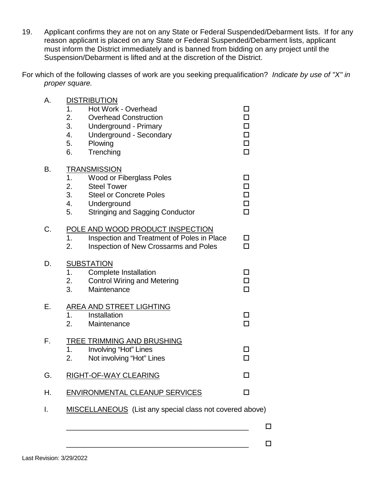- 19. Applicant confirms they are not on any State or Federal Suspended/Debarment lists. If for any reason applicant is placed on any State or Federal Suspended/Debarment lists, applicant must inform the District immediately and is banned from bidding on any project until the Suspension/Debarment is lifted and at the discretion of the District.
- For which of the following classes of work are you seeking prequalification? *Indicate by use of "X" in proper square.*

| А. | <b>DISTRIBUTION</b><br>1.<br>Hot Work - Overhead<br>2.<br><b>Overhead Construction</b><br>3.<br>Underground - Primary<br>4.<br>Underground - Secondary<br>5.<br>Plowing<br>6.<br>Trenching     | П<br>$\Box$<br>◻<br>□                |
|----|------------------------------------------------------------------------------------------------------------------------------------------------------------------------------------------------|--------------------------------------|
| В. | <b>TRANSMISSION</b><br>Wood or Fiberglass Poles<br>1.<br>2.<br><b>Steel Tower</b><br>3.<br><b>Steel or Concrete Poles</b><br>4.<br>Underground<br>5.<br><b>Stringing and Sagging Conductor</b> | П<br>п<br>$\Box$<br>$\Box$<br>$\Box$ |
| C. | POLE AND WOOD PRODUCT INSPECTION<br>Inspection and Treatment of Poles in Place<br>1.<br>2.<br>Inspection of New Crossarms and Poles                                                            | П<br>п                               |
| D. | <b>SUBSTATION</b><br>1.<br><b>Complete Installation</b><br>2.<br><b>Control Wiring and Metering</b><br>3.<br>Maintenance                                                                       | П<br>$\Box$<br>$\Box$                |
| Е. | <b>AREA AND STREET LIGHTING</b><br>Installation<br>1.<br>2.<br>Maintenance                                                                                                                     | П<br>$\Box$                          |
| F. | TREE TRIMMING AND BRUSHING<br>1.<br>Involving "Hot" Lines<br>2.<br>Not involving "Hot" Lines                                                                                                   | $\Box$                               |
| G. | <b>RIGHT-OF-WAY CLEARING</b>                                                                                                                                                                   | п                                    |
| Η. | <b>ENVIRONMENTAL CLEANUP SERVICES</b>                                                                                                                                                          | $\Box$                               |
| I. | MISCELLANEOUS (List any special class not covered above)                                                                                                                                       |                                      |

\_\_\_\_\_\_\_\_\_\_\_\_\_\_\_\_\_\_\_\_\_\_\_\_\_\_\_\_\_\_\_\_\_\_\_\_\_\_\_\_\_\_\_\_\_

\_\_\_\_\_\_\_\_\_\_\_\_\_\_\_\_\_\_\_\_\_\_\_\_\_\_\_\_\_\_\_\_\_\_\_\_\_\_\_\_\_\_\_\_\_